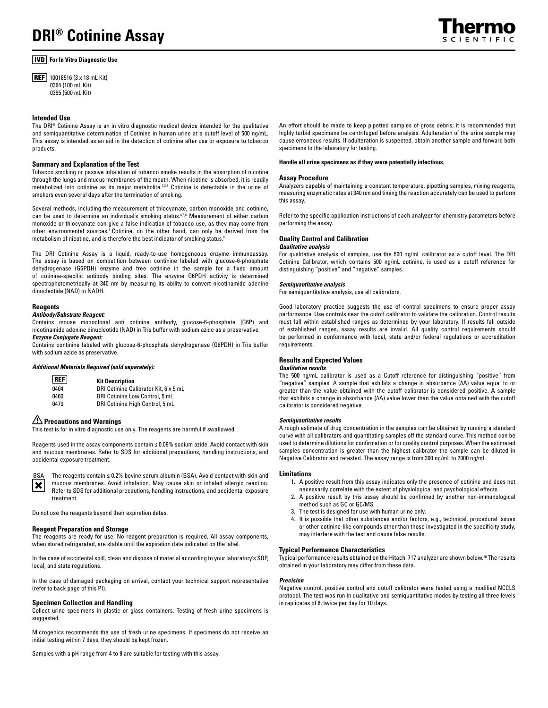# **DRI® Cotinine Assay**

# **For In Vitro Diagnostic Use**

**REF** 10018516 (3 x 18 mL Kit) 0394 (100 mL Kit) 0395 (500 mL Kit)

#### **Intended Use**

The DRI® Cotinine Assay is an in vitro diagnostic medical device intended for the qualitative and semiquantitative determination of Cotinine in human urine at a cutoff level of 500 ng/mL. This assay is intended as an aid in the detection of cotinine after use or exposure to tobacco products.

#### **Summary and Explanation of the Test**

Tobacco smoking or passive inhalation of tobacco smoke results in the absorption of nicotine through the lungs and mucus membranes of the mouth. When nicotine is absorbed, it is readily metabolized into cotinine as its major metabolite.<sup>1,2,3</sup> Cotinine is detectable in the urine of smokers even several days after the termination of smoking.

Several methods, including the measurement of thiocyanate, carbon monoxide and cotinine, can be used to determine an individual's smoking status.<sup>4,5,6</sup> Measurement of either carbon monoxide or thiocyanate can give a false indication of tobacco use, as they may come from other environmental sources.<sup>7</sup> Cotinine, on the other hand, can only be derived from the metabolism of nicotine, and is therefore the best indicator of smoking status.8

The DRI Cotinine Assay is a liquid, ready-to-use homogeneous enzyme immunoassay. The assay is based on competition between continine labeled with glucose-6-phosphate dehydrogenase (G6PDH) enzyme and free cotinine in the sample for a fixed amount of cotinine-specific antibody binding sites. The enzyme G6PDH activity is determined spectrophotometrically at 340 nm by measuring its ability to convert nicotinamide adenine dinucleotide (NAD) to NADH.

#### **Reagents**

# *Antibody/Substrate Reagent:*

Contains mouse monoclonal anti cotinine antibody, glucose-6-phosphate (G6P) and nicotinamide adenine dinucleotide (NAD) in Tris buffer with sodium azide as a preservative. *Enzyme Conjugate Reagent:* 

Contains continine labeled with glucose-6-phosphate dehydrogenase (G6PDH) in Tris buffer with sodium azide as preservative.

#### *Additional Materials Required (sold separately):*

| <b>REF</b> | <b>Kit Description</b>                |
|------------|---------------------------------------|
| 0404       | DRI Cotinine Calibrator Kit, 6 x 5 mL |
| 0460       | DRI Cotinine Low Control, 5 mL        |
| 0470       | DRI Cotinine High Control, 5 mL       |

# **Precautions and Warnings**

This test is for in vitro diagnostic use only. The reagents are harmful if swallowed.

Reagents used in the assay components contain **≤** 0.09% sodium azide. Avoid contact with skin and mucous membranes. Refer to SDS for additional precautions, handling instructions, and accidental exposure treatment.



The reagents contain **≤** 0.2% bovine serum albumin (BSA). Avoid contact with skin and mucous membranes. Avoid inhalation. May cause skin or inhaled allergic reaction. Refer to SDS for additional precautions, handling instructions, and accidental exposure treatment.

Do not use the reagents beyond their expiration dates.

# **Reagent Preparation and Storage**

The reagents are ready for use. No reagent preparation is required. All assay components, when stored refrigerated, are stable until the expiration date indicated on the label.

In the case of accidental spill, clean and dispose of material according to your laboratory's SOP, local, and state regulations.

In the case of damaged packaging on arrival, contact your technical support representative (refer to back page of this PI).

# **Specimen Collection and Handling**

Collect urine specimens in plastic or glass containers. Testing of fresh urine specimens is suggested.

Microgenics recommends the use of fresh urine specimens. If specimens do not receive an initial testing within 7 days, they should be kept frozen.

Samples with a pH range from 4 to 9 are suitable for testing with this assay.



#### **Handle all urine specimens as if they were potentially infectious.**

#### **Assay Procedure**

Analyzers capable of maintaining a constant temperature, pipetting samples, mixing reagents, measuring enzymatic rates at 340 nm and timing the reaction accurately can be used to perform this assay.

Refer to the specific application instructions of each analyzer for chemistry parameters before performing the assay.

#### **Quality Control and Calibration** *Qualitative analysis*

For qualitative analysis of samples, use the 500 ng/mL calibrator as a cutoff level. The DRI Cotinine Calibrator, which contains 500 ng/mL cotinine, is used as a cutoff reference for distinguishing "positive" and "negative" samples.

#### *Semiquantitative analysis*

For semiquantitative analysis, use all calibrators.

Good laboratory practice suggests the use of control specimens to ensure proper assay performance. Use controls near the cutoff calibrator to validate the calibration. Control results must fall within established ranges as determined by your laboratory. If results fall outside of established ranges, assay results are invalid. All quality control requirements should be performed in conformance with local, state and/or federal regulations or accreditation requirements.

# **Results and Expected Values**

#### *Qualitative results*

The 500 ng/mL calibrator is used as a Cutoff reference for distinguishing "positive" from "negative" samples. A sample that exhibits a change in absorbance (∆A) value equal to or greater than the value obtained with the cutoff calibrator is considered positive. A sample that exhibits a change in absorbance (∆A) value lower than the value obtained with the cutoff calibrator is considered negative.

#### *Semiquantitative results*

A rough estimate of drug concentration in the samples can be obtained by running a standard curve with all calibrators and quantitating samples off the standard curve. This method can be used to determine dilutions for confirmation or for quality control purposes. When the estimated samples concentration is greater than the highest calibrator the sample can be diluted in Negative Calibrator and retested. The assay range is from 300 ng/mL to 2000 ng/mL.

#### **Limitations**

- 1. A positive result from this assay indicates only the presence of cotinine and does not necessarily correlate with the extent of physiological and psychological effects.
- 2. A positive result by this assay should be confirmed by another non-immunological method such as GC or GC/MS.
- 3. The test is designed for use with human urine only.
- 4. It is possible that other substances and/or factors, e.g., technical, procedural issues or other cotinine-like compounds other than those investigated in the specificity study, may interfere with the test and cause false results.

# **Typical Performance Characteristics**

Typical performance results obtained on the Hitachi 717 analyzer are shown below.10 The results obtained in your laboratory may differ from these data.

#### *Precision*

Negative control, positive control and cutoff calibrator were tested using a modified NCCLS protocol. The test was run in qualitative and semiquantitative modes by testing all three levels in replicates of 6, twice per day for 10 days.

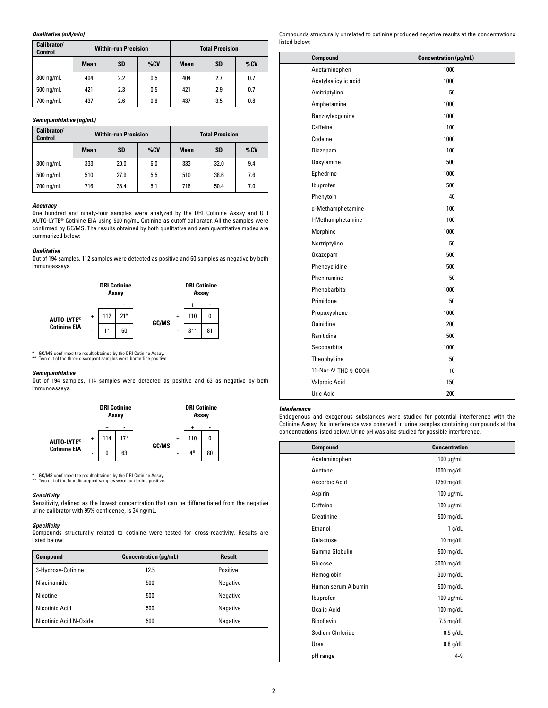# *Qualitative (mA/min)*

| Calibrator/<br><b>Control</b> | <b>Within-run Precision</b> |           |     | <b>Total Precision</b> |           |     |
|-------------------------------|-----------------------------|-----------|-----|------------------------|-----------|-----|
|                               | <b>Mean</b>                 | <b>SD</b> | %CV | <b>Mean</b>            | <b>SD</b> | %CV |
| 300 ng/mL                     | 404                         | 2.2       | 0.5 | 404                    | 2.7       | 0.7 |
| $500$ ng/mL                   | 421                         | 2.3       | 0.5 | 421                    | 2.9       | 0.7 |
| 700 ng/mL                     | 437                         | 2.6       | 0.6 | 437                    | 3.5       | 0.8 |

# *Semiquantitative (ng/mL)*

| Calibrator/<br><b>Control</b> | <b>Within-run Precision</b> |      | <b>Total Precision</b> |             |           |     |
|-------------------------------|-----------------------------|------|------------------------|-------------|-----------|-----|
|                               | <b>Mean</b>                 | SD   | %CV                    | <b>Mean</b> | <b>SD</b> | %CV |
| 300 ng/mL                     | 333                         | 20.0 | 6.0                    | 333         | 32.0      | 9.4 |
| 500 ng/mL                     | 510                         | 27.9 | 5.5                    | 510         | 38.6      | 7.6 |
| 700 ng/mL                     | 716                         | 36.4 | 5.1                    | 716         | 50.4      | 7.0 |

#### *Accuracy*

One hundred and ninety-four samples were analyzed by the DRI Cotinine Assay and OTI AUTO-LYTE® Cotinine EIA using 500 ng/mL Cotinine as cutoff calibrator. All the samples were confirmed by GC/MS. The results obtained by both qualitative and semiquantitative modes are summarized below:

#### *Qualitative*

Out of 194 samples, 112 samples were detected as positive and 60 samples as negative by both immunoassays.



\* GC/MS confirmed the result obtained by the DRI Cotinine Assay. \*\* Two out of the three discrepant samples were borderline positive.

#### *Semiquantitative*

Out of 194 samples, 114 samples were detected as positive and 63 as negative by both immunoassays.



\* GC/MS confirmed the result obtained by the DRI Cotinine Assay. \*\* Two out of the four discrepant samples were borderline positive.

# *Sensitivity*

Sensitivity, defined as the lowest concentration that can be differentiated from the negative urine calibrator with 95% confidence, is 34 ng/mL.

#### *Specificity*

Compounds structurally related to cotinine were tested for cross-reactivity. Results are listed below:

| Compound               | Concentration (µq/mL) | <b>Result</b> |
|------------------------|-----------------------|---------------|
| 3-Hydroxy-Cotinine     | 12.5                  | Positive      |
| Niacinamide            | 500                   | Negative      |
| Nicotine               | 500                   | Negative      |
| Nicotinic Acid         | 500                   | Negative      |
| Nicotinic Acid N-Oxide | 500                   | Negative      |

Compounds structurally unrelated to cotinine produced negative results at the concentrations listed below:

| <b>Compound</b>                   | Concentration (µg/mL) |  |
|-----------------------------------|-----------------------|--|
| Acetaminophen                     | 1000                  |  |
| Acetylsalicylic acid              | 1000                  |  |
| Amitriptyline                     | 50                    |  |
| Amphetamine                       | 1000                  |  |
| Benzoylecgonine                   | 1000                  |  |
| Caffeine                          | 100                   |  |
| Codeine                           | 1000                  |  |
| Diazepam                          | 100                   |  |
| Doxylamine                        | 500                   |  |
| Ephedrine                         | 1000                  |  |
| Ibuprofen                         | 500                   |  |
| Phenytoin                         | 40                    |  |
| d-Methamphetamine                 | 100                   |  |
| I-Methamphetamine                 | 100                   |  |
| Morphine                          | 1000                  |  |
| Nortriptyline                     | 50                    |  |
| Oxazepam                          | 500                   |  |
| Phencyclidine                     | 500                   |  |
| Pheniramine                       | 50                    |  |
| Phenobarbital                     | 1000                  |  |
| Primidone                         | 50                    |  |
| Propoxyphene                      | 1000                  |  |
| Quinidine                         | 200                   |  |
| <b>Ranitidine</b>                 | 500                   |  |
| Secobarbital                      | 1000                  |  |
| Theophylline                      | 50                    |  |
| 11-Nor-Δ <sup>9</sup> -THC-9-COOH | 10                    |  |
| Valproic Acid                     | 150                   |  |
| Uric Acid                         | 200                   |  |

# *Interference*

Endogenous and exogenous substances were studied for potential interference with the Cotinine Assay. No interference was observed in urine samples containing compounds at the concentrations listed below. Urine pH was also studied for possible interference.

| Compound            | <b>Concentration</b> |
|---------------------|----------------------|
| Acetaminophen       | $100 \mu g/mL$       |
| Acetone             | 1000 mg/dL           |
| Ascorbic Acid       | 1250 mg/dL           |
| Aspirin             | $100 \mu g/mL$       |
| Caffeine            | $100 \mu g/mL$       |
| Creatinine          | 500 mg/dL            |
| Ethanol             | $1$ g/dL             |
| Galactose           | $10$ mg/dL           |
| Gamma Globulin      | $500$ mg/dL          |
| Glucose             | 3000 mg/dL           |
| Hemoglobin          | $300$ mg/dL          |
| Human serum Albumin | $500$ mg/dL          |
| Ibuprofen           | $100 \mu g/mL$       |
| Oxalic Acid         | $100$ mg/dL          |
| Riboflavin          | $7.5 \text{ mg/dL}$  |
| Sodium Chrloride    | $0.5$ g/dL           |
| Urea                | $0.8$ g/dL           |
| pH range            | $4 - 9$              |